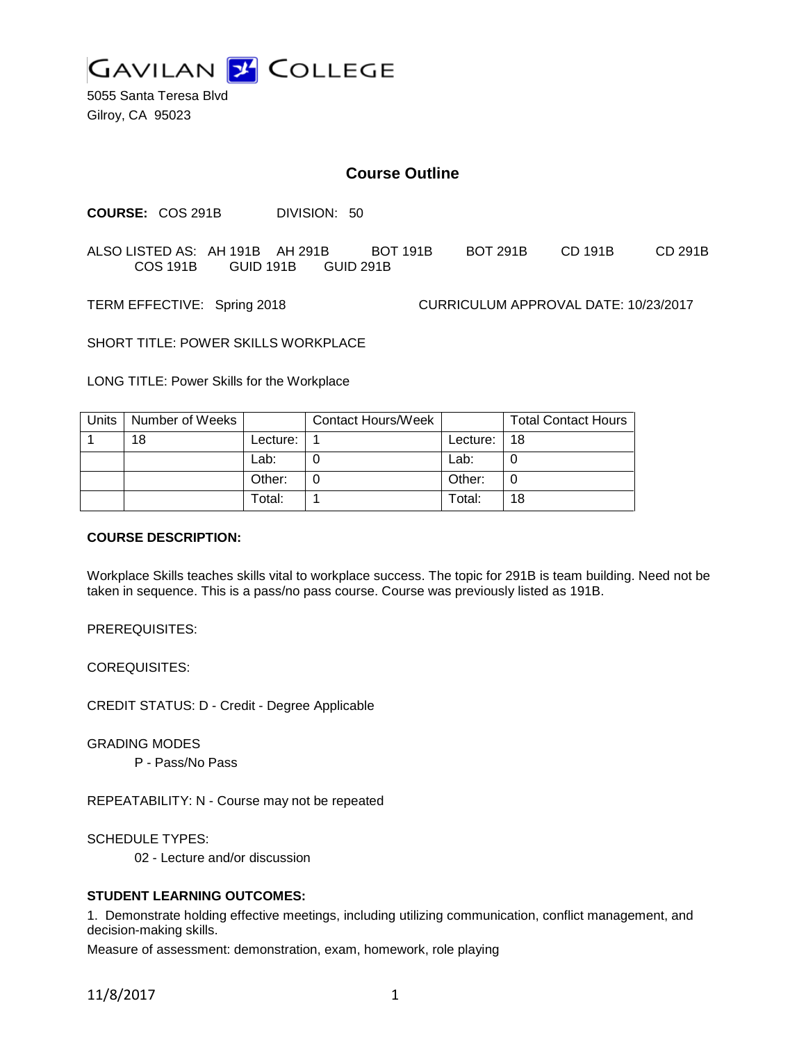

5055 Santa Teresa Blvd Gilroy, CA 95023

# **Course Outline**

**COURSE:** COS 291B DIVISION: 50

ALSO LISTED AS: AH 191B AH 291B BOT 191B BOT 291B CD 191B CD 291B COS 191B GUID 191B GUID 291B

TERM EFFECTIVE: Spring 2018 CURRICULUM APPROVAL DATE: 10/23/2017

SHORT TITLE: POWER SKILLS WORKPLACE

LONG TITLE: Power Skills for the Workplace

| Units | Number of Weeks |          | Contact Hours/Week |          | <b>Total Contact Hours</b> |
|-------|-----------------|----------|--------------------|----------|----------------------------|
|       | 18              | Lecture: |                    | Lecture: | 18                         |
|       |                 | Lab:     |                    | Lab:     |                            |
|       |                 | Other:   |                    | Other:   | 0                          |
|       |                 | Total:   |                    | Total:   | 18                         |

#### **COURSE DESCRIPTION:**

Workplace Skills teaches skills vital to workplace success. The topic for 291B is team building. Need not be taken in sequence. This is a pass/no pass course. Course was previously listed as 191B.

PREREQUISITES:

COREQUISITES:

CREDIT STATUS: D - Credit - Degree Applicable

GRADING MODES

P - Pass/No Pass

REPEATABILITY: N - Course may not be repeated

SCHEDULE TYPES:

02 - Lecture and/or discussion

#### **STUDENT LEARNING OUTCOMES:**

1. Demonstrate holding effective meetings, including utilizing communication, conflict management, and decision-making skills.

Measure of assessment: demonstration, exam, homework, role playing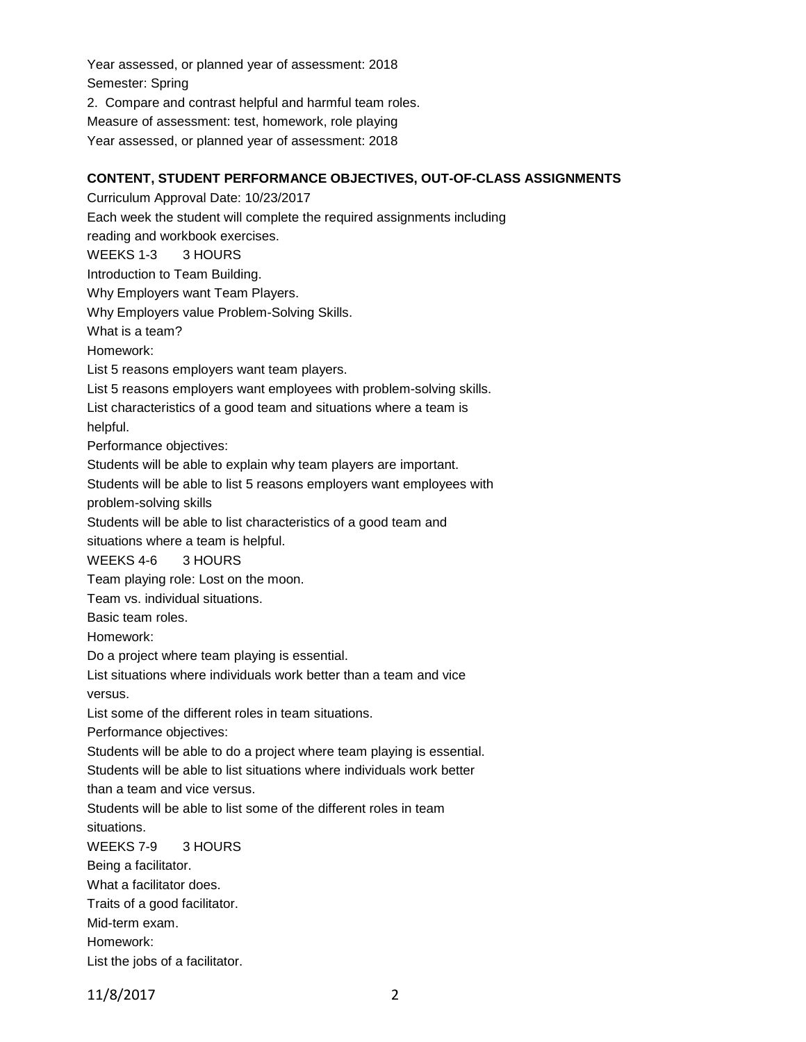Year assessed, or planned year of assessment: 2018 Semester: Spring 2. Compare and contrast helpful and harmful team roles. Measure of assessment: test, homework, role playing Year assessed, or planned year of assessment: 2018

## **CONTENT, STUDENT PERFORMANCE OBJECTIVES, OUT-OF-CLASS ASSIGNMENTS**

Curriculum Approval Date: 10/23/2017 Each week the student will complete the required assignments including reading and workbook exercises. WEEKS 1-3 3 HOURS Introduction to Team Building. Why Employers want Team Players. Why Employers value Problem-Solving Skills. What is a team? Homework: List 5 reasons employers want team players. List 5 reasons employers want employees with problem-solving skills. List characteristics of a good team and situations where a team is helpful. Performance objectives: Students will be able to explain why team players are important. Students will be able to list 5 reasons employers want employees with problem-solving skills Students will be able to list characteristics of a good team and situations where a team is helpful. WEEKS 4-6 3 HOURS Team playing role: Lost on the moon. Team vs. individual situations. Basic team roles. Homework: Do a project where team playing is essential. List situations where individuals work better than a team and vice versus. List some of the different roles in team situations. Performance objectives: Students will be able to do a project where team playing is essential. Students will be able to list situations where individuals work better than a team and vice versus. Students will be able to list some of the different roles in team situations. WEEKS 7-9 3 HOURS Being a facilitator. What a facilitator does. Traits of a good facilitator. Mid-term exam. Homework:

List the jobs of a facilitator.

11/8/2017 2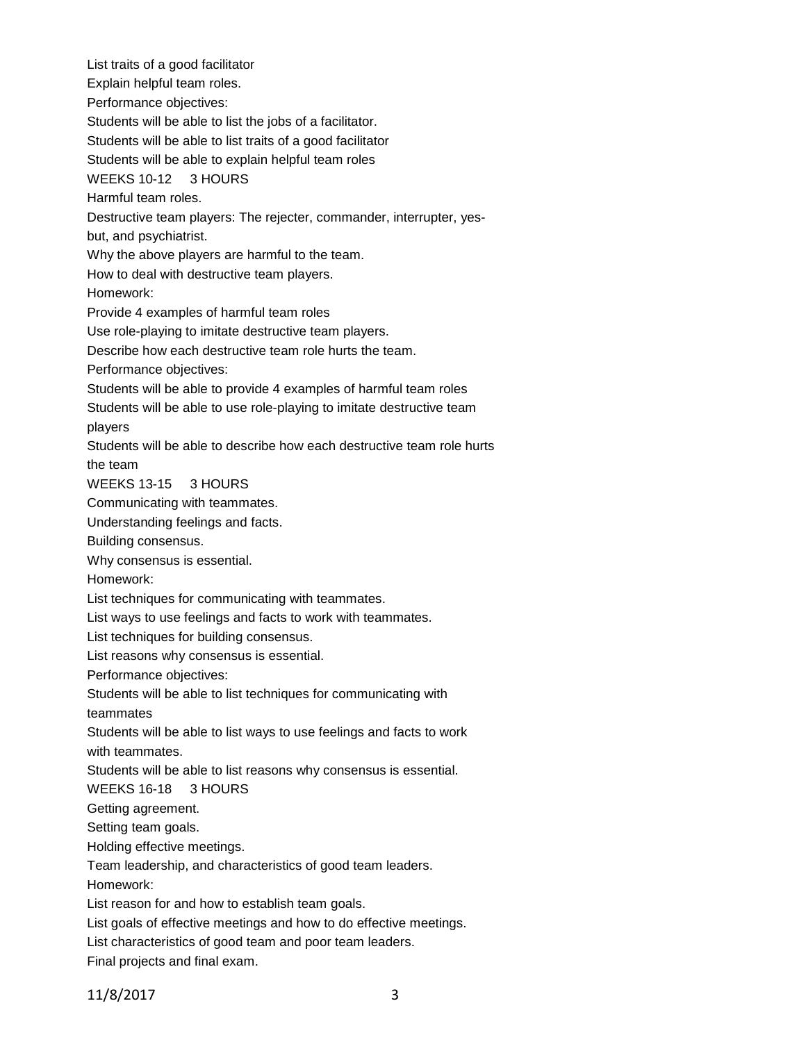List traits of a good facilitator Explain helpful team roles. Performance objectives: Students will be able to list the jobs of a facilitator. Students will be able to list traits of a good facilitator Students will be able to explain helpful team roles WEEKS 10-12 3 HOURS Harmful team roles. Destructive team players: The rejecter, commander, interrupter, yesbut, and psychiatrist. Why the above players are harmful to the team. How to deal with destructive team players. Homework: Provide 4 examples of harmful team roles Use role-playing to imitate destructive team players. Describe how each destructive team role hurts the team. Performance objectives: Students will be able to provide 4 examples of harmful team roles Students will be able to use role-playing to imitate destructive team players Students will be able to describe how each destructive team role hurts the team WEEKS 13-15 3 HOURS Communicating with teammates. Understanding feelings and facts. Building consensus. Why consensus is essential. Homework: List techniques for communicating with teammates. List ways to use feelings and facts to work with teammates. List techniques for building consensus. List reasons why consensus is essential. Performance objectives: Students will be able to list techniques for communicating with teammates Students will be able to list ways to use feelings and facts to work with teammates. Students will be able to list reasons why consensus is essential. WEEKS 16-18 3 HOURS Getting agreement. Setting team goals. Holding effective meetings. Team leadership, and characteristics of good team leaders. Homework: List reason for and how to establish team goals. List goals of effective meetings and how to do effective meetings. List characteristics of good team and poor team leaders. Final projects and final exam.

11/8/2017 3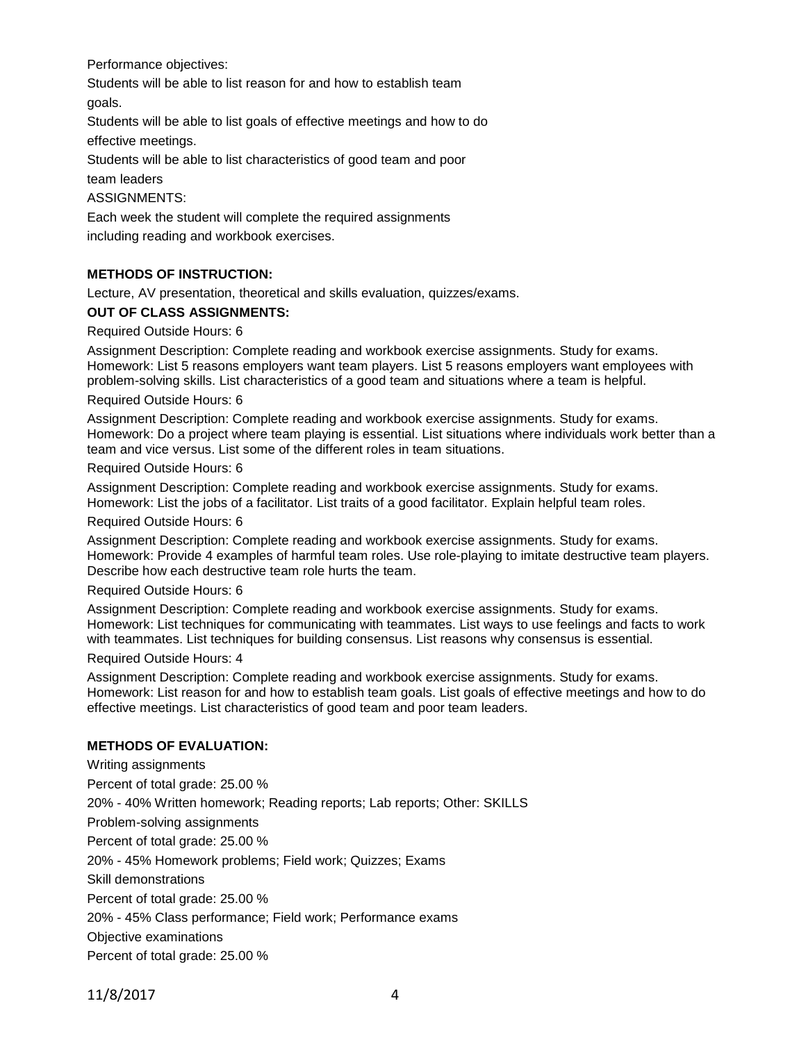Performance objectives:

Students will be able to list reason for and how to establish team goals.

Students will be able to list goals of effective meetings and how to do effective meetings.

Students will be able to list characteristics of good team and poor

team leaders

ASSIGNMENTS:

Each week the student will complete the required assignments including reading and workbook exercises.

## **METHODS OF INSTRUCTION:**

Lecture, AV presentation, theoretical and skills evaluation, quizzes/exams.

### **OUT OF CLASS ASSIGNMENTS:**

Required Outside Hours: 6

Assignment Description: Complete reading and workbook exercise assignments. Study for exams. Homework: List 5 reasons employers want team players. List 5 reasons employers want employees with problem-solving skills. List characteristics of a good team and situations where a team is helpful.

#### Required Outside Hours: 6

Assignment Description: Complete reading and workbook exercise assignments. Study for exams. Homework: Do a project where team playing is essential. List situations where individuals work better than a team and vice versus. List some of the different roles in team situations.

Required Outside Hours: 6

Assignment Description: Complete reading and workbook exercise assignments. Study for exams. Homework: List the jobs of a facilitator. List traits of a good facilitator. Explain helpful team roles.

Required Outside Hours: 6

Assignment Description: Complete reading and workbook exercise assignments. Study for exams. Homework: Provide 4 examples of harmful team roles. Use role-playing to imitate destructive team players. Describe how each destructive team role hurts the team.

#### Required Outside Hours: 6

Assignment Description: Complete reading and workbook exercise assignments. Study for exams. Homework: List techniques for communicating with teammates. List ways to use feelings and facts to work with teammates. List techniques for building consensus. List reasons why consensus is essential.

#### Required Outside Hours: 4

Assignment Description: Complete reading and workbook exercise assignments. Study for exams. Homework: List reason for and how to establish team goals. List goals of effective meetings and how to do effective meetings. List characteristics of good team and poor team leaders.

### **METHODS OF EVALUATION:**

Writing assignments Percent of total grade: 25.00 % 20% - 40% Written homework; Reading reports; Lab reports; Other: SKILLS Problem-solving assignments Percent of total grade: 25.00 % 20% - 45% Homework problems; Field work; Quizzes; Exams Skill demonstrations Percent of total grade: 25.00 % 20% - 45% Class performance; Field work; Performance exams Objective examinations Percent of total grade: 25.00 %

11/8/2017 4